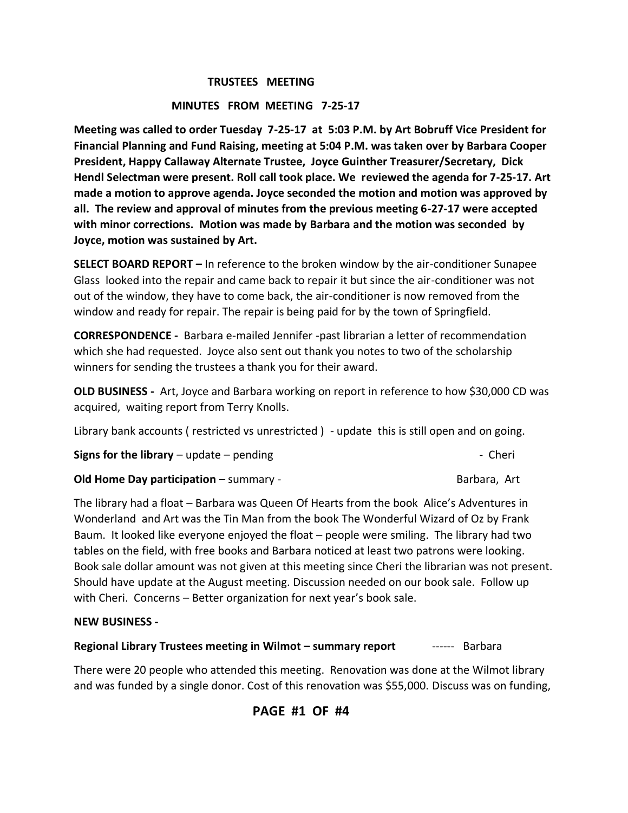#### **TRUSTEES MEETING**

#### **MINUTES FROM MEETING 7-25-17**

**Meeting was called to order Tuesday 7-25-17 at 5:03 P.M. by Art Bobruff Vice President for Financial Planning and Fund Raising, meeting at 5:04 P.M. was taken over by Barbara Cooper President, Happy Callaway Alternate Trustee, Joyce Guinther Treasurer/Secretary, Dick Hendl Selectman were present. Roll call took place. We reviewed the agenda for 7-25-17. Art made a motion to approve agenda. Joyce seconded the motion and motion was approved by all. The review and approval of minutes from the previous meeting 6-27-17 were accepted with minor corrections. Motion was made by Barbara and the motion was seconded by Joyce, motion was sustained by Art.**

**SELECT BOARD REPORT –** In reference to the broken window by the air-conditioner Sunapee Glass looked into the repair and came back to repair it but since the air-conditioner was not out of the window, they have to come back, the air-conditioner is now removed from the window and ready for repair. The repair is being paid for by the town of Springfield.

**CORRESPONDENCE -** Barbara e-mailed Jennifer -past librarian a letter of recommendation which she had requested. Joyce also sent out thank you notes to two of the scholarship winners for sending the trustees a thank you for their award.

**OLD BUSINESS -** Art, Joyce and Barbara working on report in reference to how \$30,000 CD was acquired, waiting report from Terry Knolls.

Library bank accounts (restricted vs unrestricted) - update this is still open and on going.

**Signs for the library** – update – pending and the state of the cherical state of the cherical state of the cherical state of the cherical state of the cherical state of the cherical state of the cherical state of the cher

**Old Home Day participation** – summary - **Barbara, Articipation** – summary -

The library had a float – Barbara was Queen Of Hearts from the book Alice's Adventures in Wonderland and Art was the Tin Man from the book The Wonderful Wizard of Oz by Frank Baum. It looked like everyone enjoyed the float – people were smiling. The library had two tables on the field, with free books and Barbara noticed at least two patrons were looking. Book sale dollar amount was not given at this meeting since Cheri the librarian was not present. Should have update at the August meeting. Discussion needed on our book sale. Follow up with Cheri. Concerns – Better organization for next year's book sale.

### **NEW BUSINESS -**

**Regional Library Trustees meeting in Wilmot – summary report** ------ Barbara

There were 20 people who attended this meeting. Renovation was done at the Wilmot library and was funded by a single donor. Cost of this renovation was \$55,000. Discuss was on funding,

## **PAGE #1 OF #4**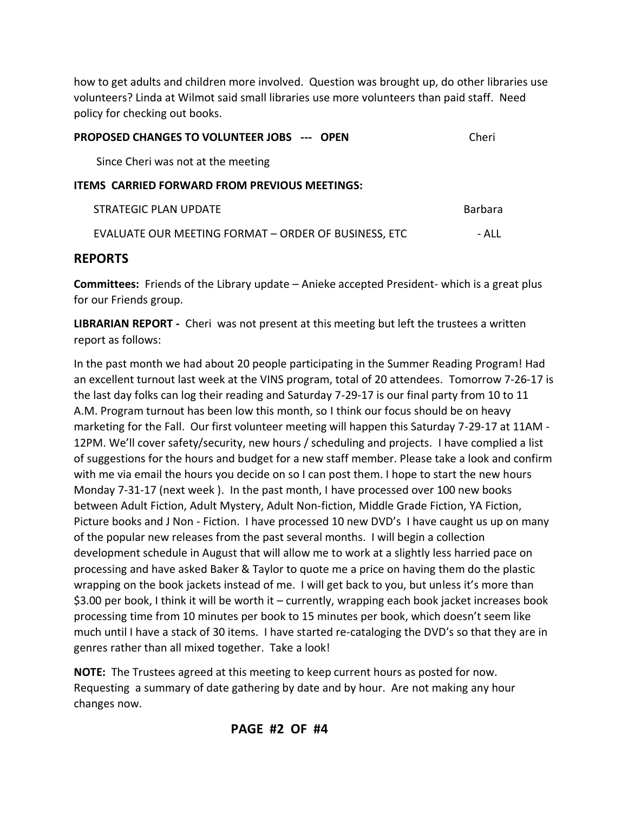how to get adults and children more involved. Question was brought up, do other libraries use volunteers? Linda at Wilmot said small libraries use more volunteers than paid staff. Need policy for checking out books.

| Cheri |
|-------|
|       |

Since Cheri was not at the meeting

### **ITEMS CARRIED FORWARD FROM PREVIOUS MEETINGS:**

| STRATEGIC PLAN UPDATE                                       | Barbara |
|-------------------------------------------------------------|---------|
| <b>EVALUATE OUR MEETING FORMAT - ORDER OF BUSINESS, ETC</b> | - ALL   |

# **REPORTS**

**Committees:** Friends of the Library update – Anieke accepted President- which is a great plus for our Friends group.

**LIBRARIAN REPORT -** Cheri was not present at this meeting but left the trustees a written report as follows:

In the past month we had about 20 people participating in the Summer Reading Program! Had an excellent turnout last week at the VINS program, total of 20 attendees. Tomorrow 7-26-17 is the last day folks can log their reading and Saturday 7-29-17 is our final party from 10 to 11 A.M. Program turnout has been low this month, so I think our focus should be on heavy marketing for the Fall. Our first volunteer meeting will happen this Saturday 7-29-17 at 11AM - 12PM. We'll cover safety/security, new hours / scheduling and projects. I have complied a list of suggestions for the hours and budget for a new staff member. Please take a look and confirm with me via email the hours you decide on so I can post them. I hope to start the new hours Monday 7-31-17 (next week ). In the past month, I have processed over 100 new books between Adult Fiction, Adult Mystery, Adult Non-fiction, Middle Grade Fiction, YA Fiction, Picture books and J Non - Fiction. I have processed 10 new DVD's I have caught us up on many of the popular new releases from the past several months. I will begin a collection development schedule in August that will allow me to work at a slightly less harried pace on processing and have asked Baker & Taylor to quote me a price on having them do the plastic wrapping on the book jackets instead of me. I will get back to you, but unless it's more than \$3.00 per book, I think it will be worth it – currently, wrapping each book jacket increases book processing time from 10 minutes per book to 15 minutes per book, which doesn't seem like much until I have a stack of 30 items. I have started re-cataloging the DVD's so that they are in genres rather than all mixed together. Take a look!

**NOTE:** The Trustees agreed at this meeting to keep current hours as posted for now. Requesting a summary of date gathering by date and by hour. Are not making any hour changes now.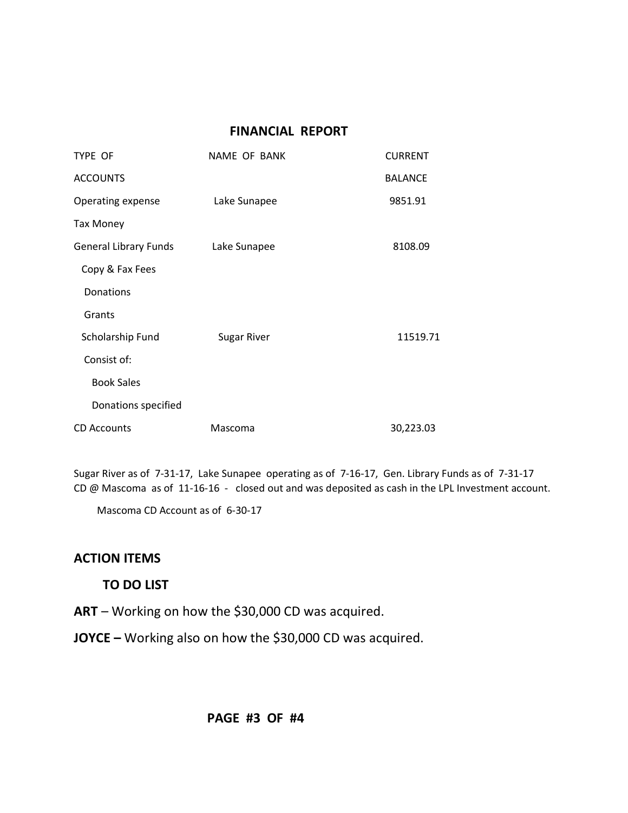**FINANCIAL REPORT**

| TYPE OF                      | <b>NAME OF BANK</b> | <b>CURRENT</b> |
|------------------------------|---------------------|----------------|
| <b>ACCOUNTS</b>              |                     | <b>BALANCE</b> |
| Operating expense            | Lake Sunapee        | 9851.91        |
| <b>Tax Money</b>             |                     |                |
| <b>General Library Funds</b> | Lake Sunapee        | 8108.09        |
| Copy & Fax Fees              |                     |                |
| Donations                    |                     |                |
| Grants                       |                     |                |
| Scholarship Fund             | <b>Sugar River</b>  | 11519.71       |
| Consist of:                  |                     |                |
| <b>Book Sales</b>            |                     |                |
| Donations specified          |                     |                |
| <b>CD Accounts</b>           | Mascoma             | 30,223.03      |

Sugar River as of 7-31-17, Lake Sunapee operating as of 7-16-17, Gen. Library Funds as of 7-31-17 CD @ Mascoma as of 11-16-16 - closed out and was deposited as cash in the LPL Investment account.

Mascoma CD Account as of 6-30-17

## **ACTION ITEMS**

### **TO DO LIST**

**ART** – Working on how the \$30,000 CD was acquired.

**JOYCE –** Working also on how the \$30,000 CD was acquired.

# **PAGE #3 OF #4**